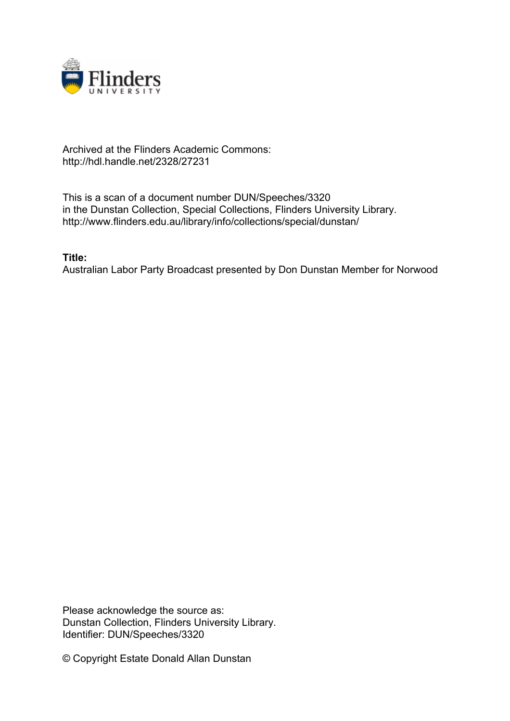

## Archived at the Flinders Academic Commons: http://hdl.handle.net/2328/27231

This is a scan of a document number DUN/Speeches/3320 in the Dunstan Collection, Special Collections, Flinders University Library. http://www.flinders.edu.au/library/info/collections/special/dunstan/

**Title:**

Australian Labor Party Broadcast presented by Don Dunstan Member for Norwood

Please acknowledge the source as: Dunstan Collection, Flinders University Library. Identifier: DUN/Speeches/3320

© Copyright Estate Donald Allan Dunstan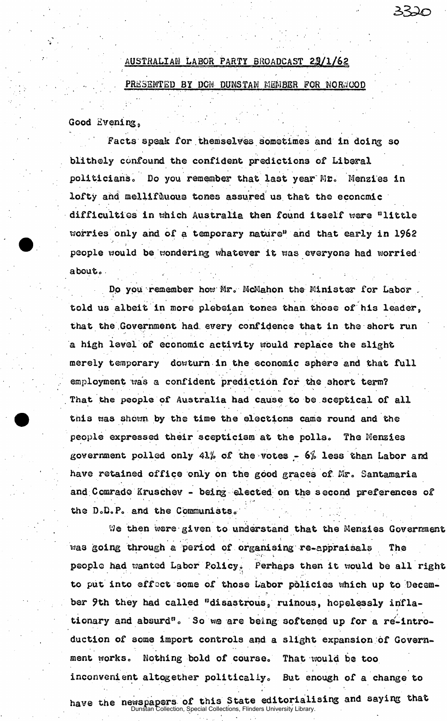## AUSTRALIAN LABOR PARTY BROADCAST 22/1/62 PRESENTED BY DON DUNSTAN MEMBER FOR NORMCOD

Good Evening,

Facts speak for themselves sometimes and in doing so blithely confound the confident predictions of Liberal politicians. Do you remember that last year Mr. Menzies in lofty and mellifluous tones assured us that the economic difficulties in which Australia then found itself were "little worries only and of a temporary nature" and that early in 1962 people would be wondering whatever it was everyone had worried  $above.$ 

Do you remember how Mr. McMahon the Minister for Labor told us albeit in more plebeian tones than those of his leader, that the Government had every confidence that in the short run a high level of economic activity would replace the slight merely temporary dowturn in the economic sphere and that full employment was a confident prediction for the short term? That the people of Australia had cause to be sceptical of all this was shown by the time the elections came round and the people expressed their scepticism at the polls. The Menzies government polled only 41% of the votes -  $6\%$  less than Labor and have retained office only on the good graces of Mr. Santamaria and Comrade Kruschev - being elected on the second preferences of the D.D.P. and the Communists.

We then were given to understand that the Menzies Government was going through a period of organising re-appraisals The people had wanted Labor Policy. Perhaps then it would be all right to put into effect some of those Labor policies which up to December 9th they had called "disastrous, ruinous, hopelessly infla- \*<sup>1</sup> tionary and absurd". So we are being softened up for a re-intro-<br>duction of some import controls and a slight expansion of Governductio n of some import controls and a sligh t expansion of Government works, Nothing bold of course" The tool of course" That time to the tool of course" That the tool of cours<br>" That time to the tool of course" That the tool of course to the tool of course to the tool of course to the inconvenient altogether politically. But enough of a change to inconvenient altogethe r politically o But enough of a change t o have the newspapers of this State editorialising and saying that

Dunstan Collection, Special Collections, Flinders University Library.